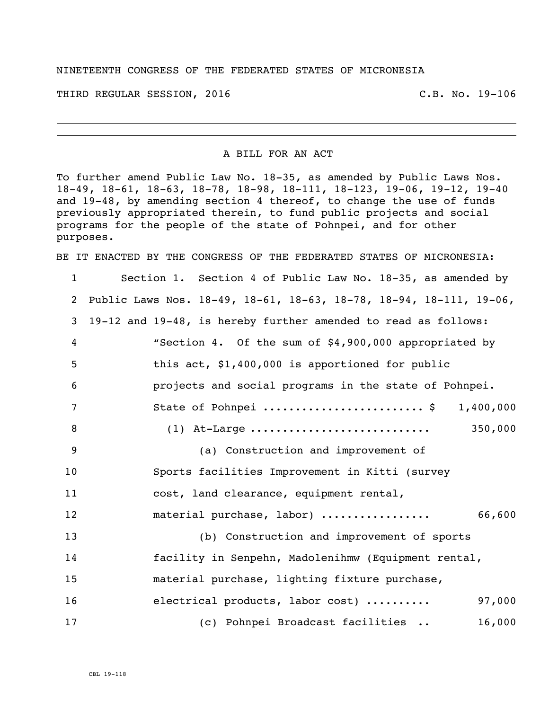## NINETEENTH CONGRESS OF THE FEDERATED STATES OF MICRONESIA

THIRD REGULAR SESSION, 2016 C.B. No. 19-106

A BILL FOR AN ACT

To further amend Public Law No. 18-35, as amended by Public Laws Nos. 18-49, 18-61, 18-63, 18-78, 18-98, 18-111, 18-123, 19-06, 19-12, 19-40 and 19-48, by amending section 4 thereof, to change the use of funds previously appropriated therein, to fund public projects and social programs for the people of the state of Pohnpei, and for other purposes.

BE IT ENACTED BY THE CONGRESS OF THE FEDERATED STATES OF MICRONESIA:

 Section 1. Section 4 of Public Law No. 18-35, as amended by Public Laws Nos. 18-49, 18-61, 18-63, 18-78, 18-94, 18-111, 19-06, 19-12 and 19-48, is hereby further amended to read as follows: "Section 4. Of the sum of \$4,900,000 appropriated by this act, \$1,400,000 is apportioned for public projects and social programs in the state of Pohnpei. State of Pohnpei ......................... \$ 1,400,000 (1) At-Large ............................ 350,000 (a) Construction and improvement of Sports facilities Improvement in Kitti (survey cost, land clearance, equipment rental, material purchase, labor) ................. 66,600 (b) Construction and improvement of sports facility in Senpehn, Madolenihmw (Equipment rental, material purchase, lighting fixture purchase, 16 electrical products, labor cost) .......... 97,000 (c) Pohnpei Broadcast facilities .. 16,000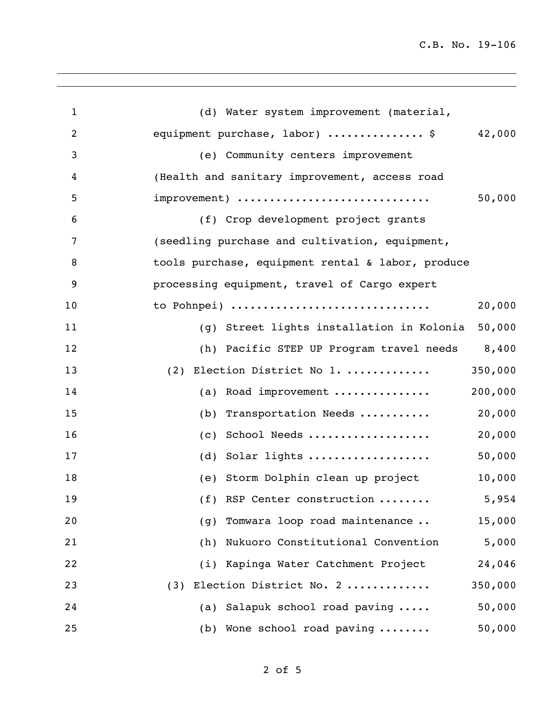C.B. No. 19-106

| $\mathbf{1}$   | (d) Water system improvement (material,             |
|----------------|-----------------------------------------------------|
| $\overline{2}$ | 42,000<br>equipment purchase, labor) \$             |
| 3              | (e) Community centers improvement                   |
| 4              | (Health and sanitary improvement, access road       |
| 5              | 50,000<br>improvement)                              |
| 6              | (f) Crop development project grants                 |
| 7              | (seedling purchase and cultivation, equipment,      |
| 8              | tools purchase, equipment rental & labor, produce   |
| 9              | processing equipment, travel of Cargo expert        |
| 10             | 20,000<br>to Pohnpei)                               |
| 11             | 50,000<br>(g) Street lights installation in Kolonia |
| 12             | 8,400<br>(h) Pacific STEP UP Program travel needs   |
| 13             | 350,000<br>(2) Election District No 1.              |
| 14             | 200,000<br>(a) Road improvement                     |
| 15             | 20,000<br>(b) Transportation Needs                  |
| 16             | 20,000<br>School Needs<br>(C)                       |
| 17             | 50,000<br>(d) Solar lights                          |
| 18             | 10,000<br>(e) Storm Dolphin clean up project        |
| 19             | (f) RSP Center construction<br>5,954                |
| 20             | Tomwara loop road maintenance<br>15,000<br>(g)      |
| 21             | 5,000<br>Nukuoro Constitutional Convention<br>(h)   |
| 22             | 24,046<br>Kapinga Water Catchment Project<br>(i)    |
| 23             | Election District No. 2<br>350,000<br>(3)           |
| 24             | 50,000<br>Salapuk school road paving<br>(a)         |
| 25             | 50,000<br>(b) Wone school road paving               |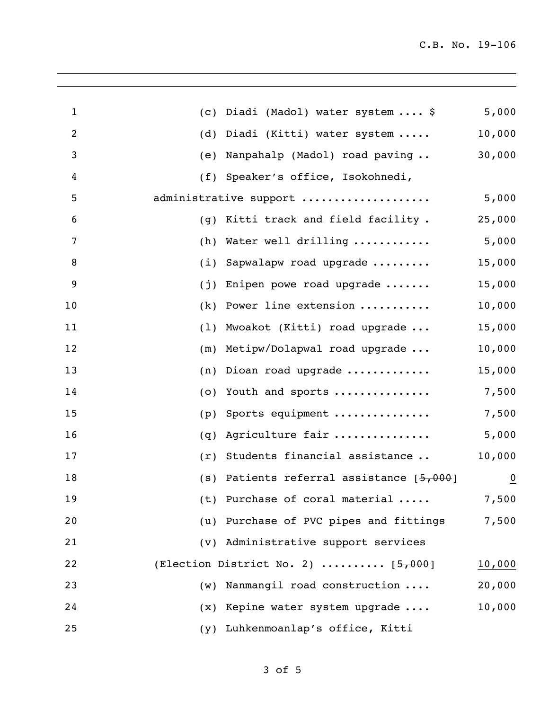| $\mathbf{1}$   | (C) | Diadi (Madol) water system  \$           | 5,000          |
|----------------|-----|------------------------------------------|----------------|
| $\overline{c}$ | (d) | Diadi (Kitti) water system               | 10,000         |
| 3              | (e) | Nanpahalp (Madol) road paving            | 30,000         |
| 4              | (f) | Speaker's office, Isokohnedi,            |                |
| 5              |     | administrative support                   | 5,000          |
| 6              | (q) | Kitti track and field facility.          | 25,000         |
| 7              | (h) | Water well drilling                      | 5,000          |
| 8              | (i) | Sapwalapw road upgrade                   | 15,000         |
| 9              | (j) | Enipen powe road upgrade $\ldots \ldots$ | 15,000         |
| 10             | (k) | Power line extension                     | 10,000         |
| 11             | (1) | Mwoakot (Kitti) road upgrade             | 15,000         |
| 12             | (m) | Metipw/Dolapwal road upgrade             | 10,000         |
| 13             | (n) | Dioan road upgrade                       | 15,000         |
| 14             | (0) | Youth and sports                         | 7,500          |
| 15             | (p) | Sports equipment                         | 7,500          |
| 16             | (q) | Agriculture fair                         | 5,000          |
| 17             | (r) | Students financial assistance            | 10,000         |
| 18             | (s) | Patients referral assistance [5,000]     | $\overline{0}$ |
| 19             |     | (t) Purchase of coral material           | 7,500          |
| 20             |     | (u) Purchase of PVC pipes and fittings   | 7,500          |
| 21             |     | (v) Administrative support services      |                |
| 22             |     | (Election District No. 2) $[5,000]$      | 10,000         |
| 23             | (w) | Nanmangil road construction              | 20,000         |
| 24             |     | (x) Kepine water system upgrade          | 10,000         |
| 25             | (Y) | Luhkenmoanlap's office, Kitti            |                |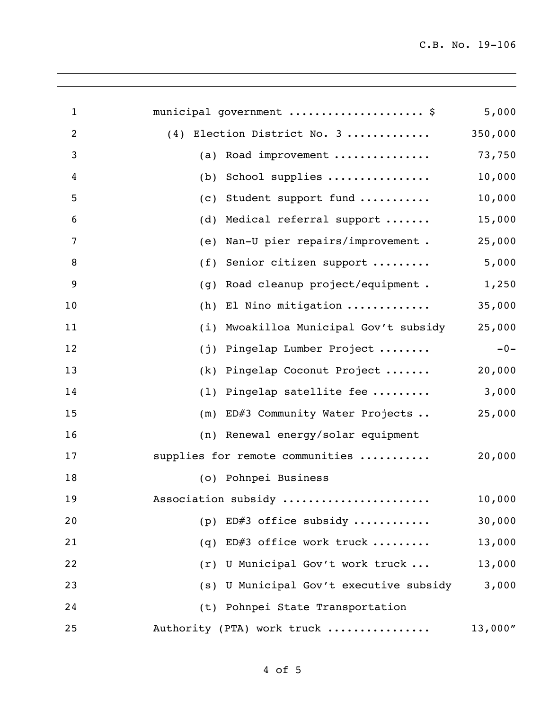| $\mathbf 1$ | municipal government  \$                  | 5,000    |
|-------------|-------------------------------------------|----------|
| 2           | (4) Election District No. 3               | 350,000  |
| 3           | Road improvement<br>(a)                   | 73,750   |
| 4           | School supplies<br>(b)                    | 10,000   |
| 5           | Student support fund<br>(c)               | 10,000   |
| 6           | Medical referral support<br>(d)           | 15,000   |
| 7           | Nan-U pier repairs/improvement.<br>(e)    | 25,000   |
| 8           | Senior citizen support<br>(f)             | 5,000    |
| 9           | Road cleanup project/equipment.<br>(q)    | 1,250    |
| 10          | El Nino mitigation<br>(h)                 | 35,000   |
| 11          | Mwoakilloa Municipal Gov't subsidy<br>(i) | 25,000   |
| 12          | Pingelap Lumber Project<br>(j)            | $-0-$    |
| 13          | Pingelap Coconut Project<br>(k)           | 20,000   |
| 14          | Pingelap satellite fee<br>(1)             | 3,000    |
| 15          | ED#3 Community Water Projects<br>(m)      | 25,000   |
| 16          | (n) Renewal energy/solar equipment        |          |
| 17          | supplies for remote communities           | 20,000   |
| 18          | (o) Pohnpei Business                      |          |
| 19          | Association subsidy                       | 10,000   |
| 20          | (p) ED#3 office subsidy                   | 30,000   |
| 21          | ED#3 office work truck<br>(q)             | 13,000   |
| 22          | (r) U Municipal Gov't work truck          | 13,000   |
| 23          | (s) U Municipal Gov't executive subsidy   | 3,000    |
| 24          | (t) Pohnpei State Transportation          |          |
| 25          | Authority (PTA) work truck                | 13,000'' |